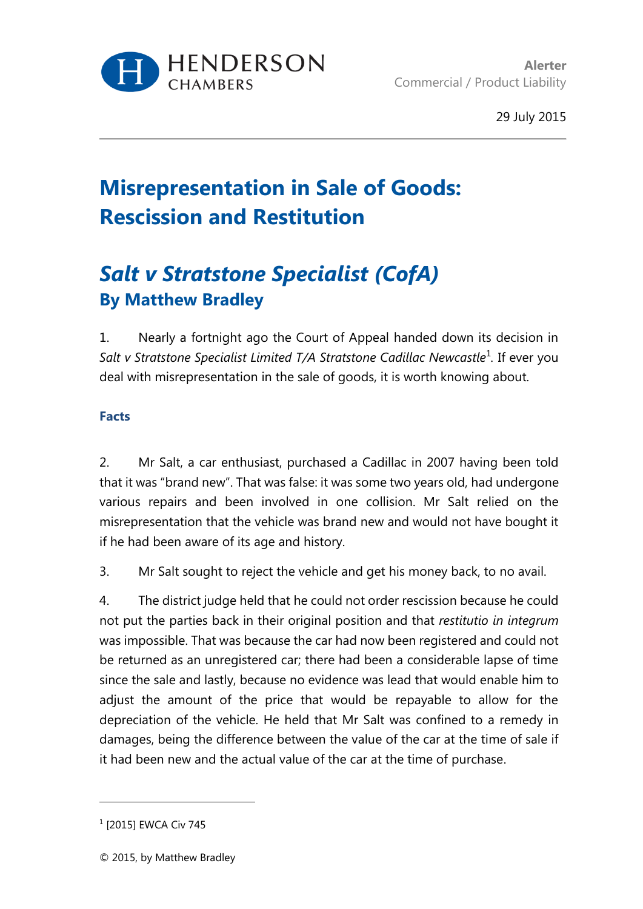

# **Misrepresentation in Sale of Goods: Rescission and Restitution**

# *Salt v Stratstone Specialist (CofA)* **By Matthew Bradley**

1. Nearly a fortnight ago the Court of Appeal handed down its decision in Salt v Stratstone Specialist Limited T/A Stratstone Cadillac Newcastle<sup>1</sup>. If ever you deal with misrepresentation in the sale of goods, it is worth knowing about.

## **Facts**

2. Mr Salt, a car enthusiast, purchased a Cadillac in 2007 having been told that it was "brand new". That was false: it was some two years old, had undergone various repairs and been involved in one collision. Mr Salt relied on the misrepresentation that the vehicle was brand new and would not have bought it if he had been aware of its age and history.

3. Mr Salt sought to reject the vehicle and get his money back, to no avail.

4. The district judge held that he could not order rescission because he could not put the parties back in their original position and that *restitutio in integrum* was impossible. That was because the car had now been registered and could not be returned as an unregistered car; there had been a considerable lapse of time since the sale and lastly, because no evidence was lead that would enable him to adjust the amount of the price that would be repayable to allow for the depreciation of the vehicle. He held that Mr Salt was confined to a remedy in damages, being the difference between the value of the car at the time of sale if it had been new and the actual value of the car at the time of purchase.

l

<sup>1</sup> [2015] EWCA Civ 745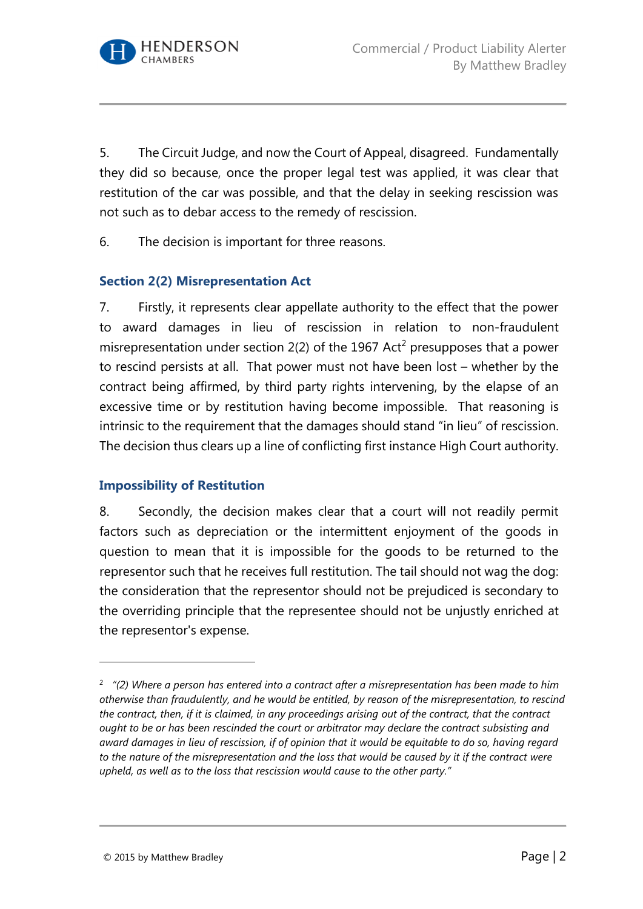

5. The Circuit Judge, and now the Court of Appeal, disagreed. Fundamentally they did so because, once the proper legal test was applied, it was clear that restitution of the car was possible, and that the delay in seeking rescission was not such as to debar access to the remedy of rescission.

6. The decision is important for three reasons.

#### **Section 2(2) Misrepresentation Act**

7. Firstly, it represents clear appellate authority to the effect that the power to award damages in lieu of rescission in relation to non-fraudulent misrepresentation under section  $2(2)$  of the 1967 Act<sup>2</sup> presupposes that a power to rescind persists at all. That power must not have been lost – whether by the contract being affirmed, by third party rights intervening, by the elapse of an excessive time or by restitution having become impossible. That reasoning is intrinsic to the requirement that the damages should stand "in lieu" of rescission. The decision thus clears up a line of conflicting first instance High Court authority.

#### **Impossibility of Restitution**

8. Secondly, the decision makes clear that a court will not readily permit factors such as depreciation or the intermittent enjoyment of the goods in question to mean that it is impossible for the goods to be returned to the representor such that he receives full restitution. The tail should not wag the dog: the consideration that the representor should not be prejudiced is secondary to the overriding principle that the representee should not be unjustly enriched at the representor's expense.

<sup>2</sup> *"(2) Where a person has entered into a contract after a misrepresentation has been made to him otherwise than fraudulently, and he would be entitled, by reason of the misrepresentation, to rescind the contract, then, if it is claimed, in any proceedings arising out of the contract, that the contract ought to be or has been rescinded the court or arbitrator may declare the contract subsisting and award damages in lieu of rescission, if of opinion that it would be equitable to do so, having regard to the nature of the misrepresentation and the loss that would be caused by it if the contract were upheld, as well as to the loss that rescission would cause to the other party."*